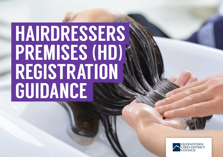# HAIRDRESSERS PREMISES (HD) REGISTRATION GUIDANCE

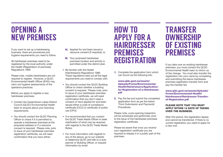# OPENING A NEW PREMISES

If you want to set up a hairdressing business, there are procedures and hygiene requirements you need to follow.

All hairdresser premises need to be registered by the local authority under the Health (Registration of premises) Regulations 1966.

Please note, mobile hairdressers are not required to register. However, a QLDC Environmental Health Officer (EHO) may carry out hygiene assessments of the operators practices.

Before you apply to register a new hairdresser premises:

- Contact the Queenstown Lakes District Council (QLDC) Environmental Health team to enquire about your licensing requirements.
- You should contact the QLDC Planning Officer to check if it is permitted to operate a hairdresser premises at the proposed address or if a resource consent is required. Please note, prior to issue of your hairdresser premises registration certificate, we will need confirmation that you have either;
- resource consent (if required), or
- **B)** Your proposed hairdresser premises location and activity is permitted under the district plan.
- Be familiar with the Health (Hairdressers) Regulations 1980. These regulations sets out all the legal requirements you need to comply with.
- You should contact the QLDC Building Officer to check whether a building consent is required. Please note, prior to issue of your hairdresser premises registration certificate, we will need confirmation that you don't need a consent or have applied for and been issued either a code of compliance certificate (CCC) or certificate of public use (CPU).
- It is recommended that you contact the QLDC Trade Waste Officer to seek clarification of what may be required, with regards to the QLDC Trade Waste Bylaw.
- For more information with regards to any of the above, go to our website or telephone QLDC and talk to a duty planner or Building Officer, or request information by email

### HOW TO APPLY FOR A HAIRDRESSER A) Applied for and been issued a<br>resource consent (if required), or **PREMISES** PREMISES **REGISTRATION**

1. Complete the application form which can found via the following link:

www.qldc.govt.nz/assets/ Uploads/Forms/Environmental-Health/Hairdressers/Applicationfor-Registration-of-a-Hairdresser. pdf

2. Pay the fee and submit the completed application form as per the below 'Form Submission and Payments' Procedures

Please note, a pre-opening inspection will be scheduled and performed, prior to the issue of the hairdresser premises registration certificate.

Please be aware that once you receive your registration certificate you are required to display it in a public part of the premises.

# TRANSFER **OWNERSHIP** OF EXISTING

If you take over an existing hairdresser premises, you must contact the QLDC Environmental Health team to inform us of the change. You must also transfer the registration into your name by completing and submitting the below hairdresser premises registration transfer form and pay the transfer fee

www.qldc.govt.nz/assets/Uploads/ Forms/Environmental-Health/ Hairdressers/Hairdresser-Transferof-Registration.pdf

#### PLEASE NOTE THAT YOU MUST APPLY WITHIN 14 DAYS OF TAKING OVER THE BUSINESS.

After this period, the registration lapses and cannot be transferred. If there is no current registration you need to apply for a new one.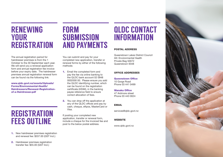## RENEWING YOUR **REGISTRATION**

The annual registration period for hairdresser premises is from the 1 October to the 30 September each year. We will send you a renewal application form and annual registration fee invoice before your expiry date. The hairdresser premises annual registration renewal form can be found via the following link:

www.qldc.govt.nz/assets/Uploads/ Forms/Environmental-Health/ Hairdressers/Renewal-Registrationof-a-Hairdresser.pdf

# **REGISTRATION** FEES OUTLINE

- 1. New hairdresser premises registration and renewal fee: \$337.00 (GST Incl.)
- 2. Hairdresser premises registration transfer fee: \$55.00 (GST Incl.)

# FORM SUBMISSION AND PAYMENTS

You can submit and pay for your completed new application, transfer or renewal forms by either of the following methods:

- 1. Email the completed form and pay the fee via online banking to the QLDC bank account 02 0948 0002000 00. Please ensure you add the QLDC identifying number, which can be found on the registration certificate (HD##), in the banking payee reference field to ensure correct allocation of fees.
- 2. You can drop off the application at any of the QLDC offices and pay by cash, cheque, eftpos, MasterCard or Visa.

If posting your completed new application, transfer or renewal form, include a cheque for the invoiced fee and post to the below postal address.

# QLDC CONTACT INFORMATION

#### POSTAL ADDRESS

Queenstown Lakes District Council Att: Environmental Health Private Bag 50072 Queenstown 9348

#### OFFICE ADDRESSES

Queenstown Office 10 Gorge Road Phone 03 441 0499

Wanaka Office 47 Ardmore street Phone 03 443 0024

EMAIL

services@qldc.govt.nz

#### **WEBSITE**

www.qldc.govt.nz